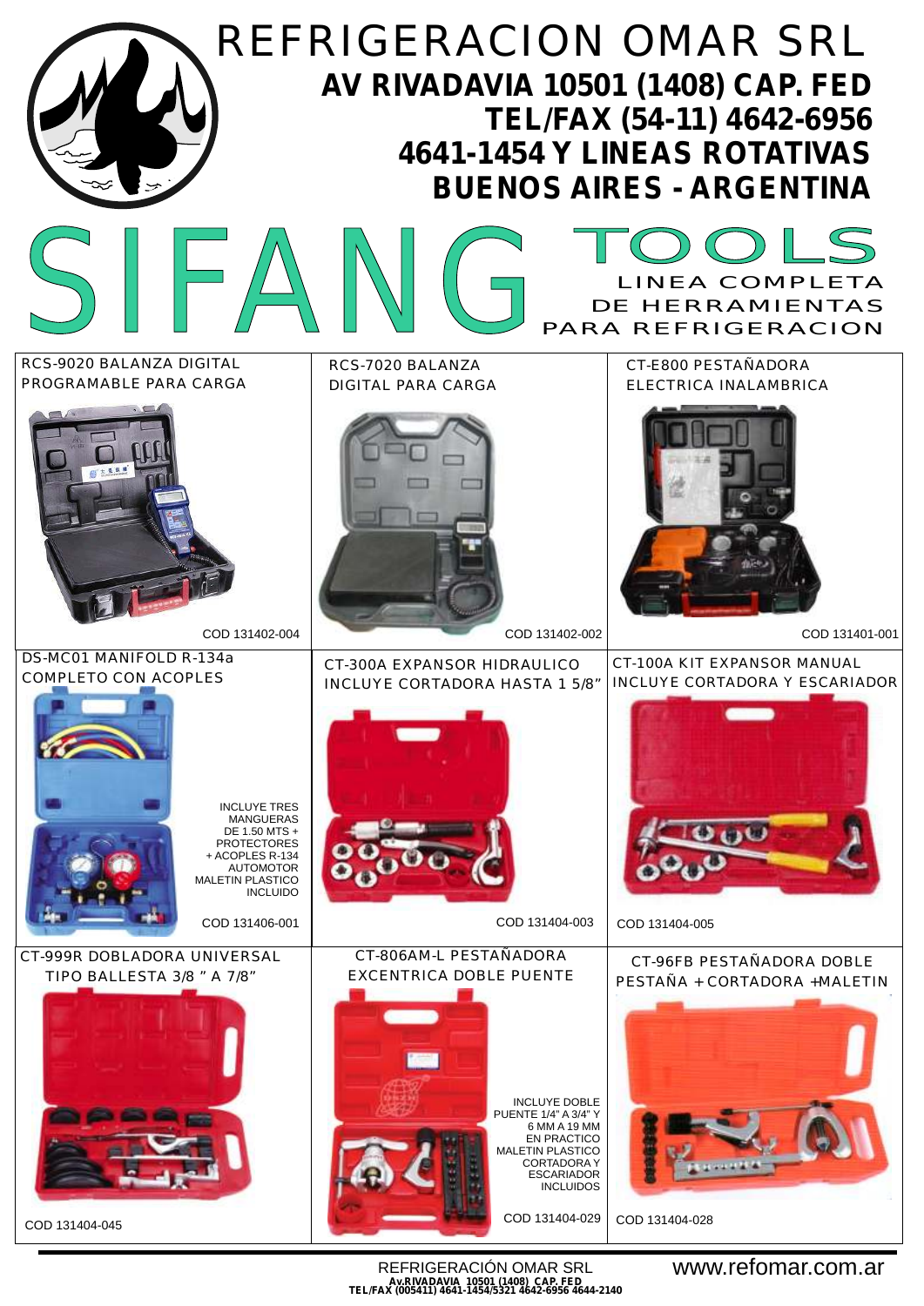

REFRIGERACIÓN OMAR SRL **Av.RIVADAVIA 10501 (1408) CAP. FED TEL/FAX (005411) 4641-1454/5321 4642-6956 4644-2140** www.refomar.com.ar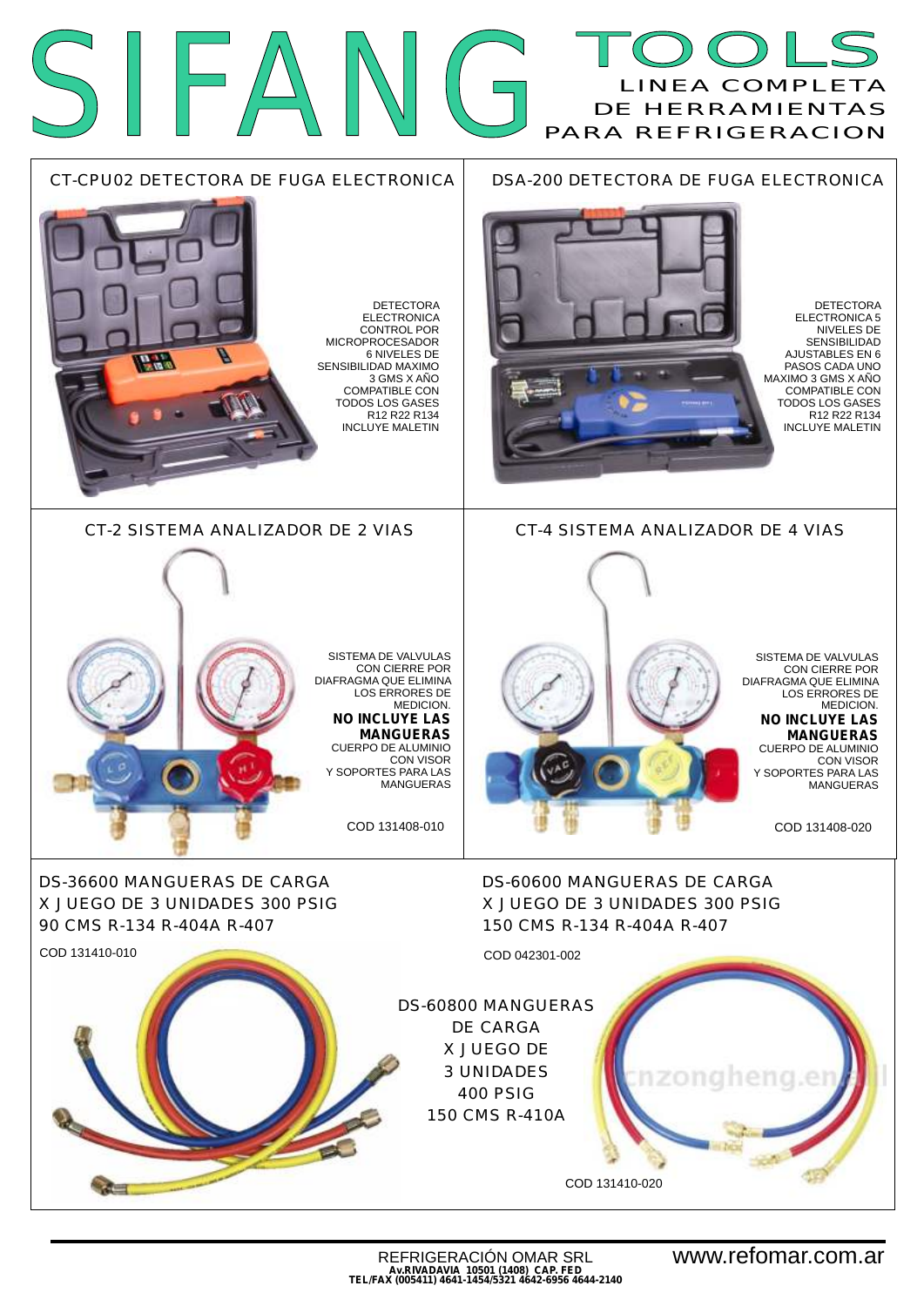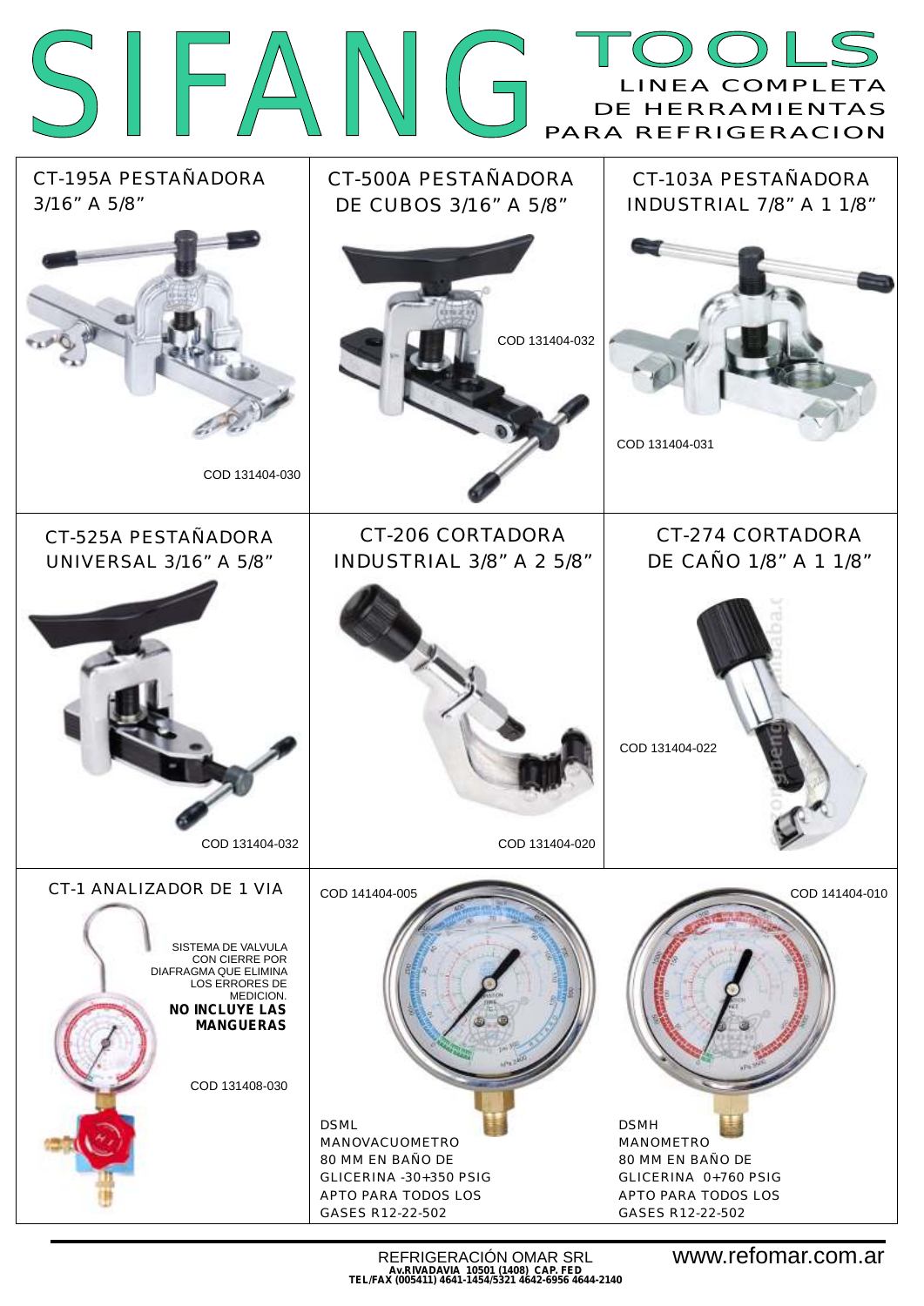|                                                                                                                                                                                                |                                                                                                                                           | DOLS<br>INEA COMPLETA<br>DE HERRAMIENTAS<br>PARA REFRIGERACION                                                                    |
|------------------------------------------------------------------------------------------------------------------------------------------------------------------------------------------------|-------------------------------------------------------------------------------------------------------------------------------------------|-----------------------------------------------------------------------------------------------------------------------------------|
| CT-195A PESTAÑADORA<br>3/16" A 5/8"                                                                                                                                                            | CT-500A PESTAÑADORA<br>DE CUBOS 3/16" A 5/8"                                                                                              | CT-103A PESTAÑADORA<br>INDUSTRIAL 7/8" A 1 1/8"                                                                                   |
| COD 131404-030                                                                                                                                                                                 | COD 131404-032                                                                                                                            | COD 131404-031                                                                                                                    |
| CT-525A PESTAÑADORA<br><b>UNIVERSAL 3/16" A 5/8"</b>                                                                                                                                           | CT-206 CORTADORA<br>INDUSTRIAL 3/8" A 2 5/8"                                                                                              | CT-274 CORTADORA<br>DE CAÑO 1/8" A 1 1/8"                                                                                         |
| COD 131404-032                                                                                                                                                                                 | COD 131404-020                                                                                                                            | COD 131404-022                                                                                                                    |
| CT-1 ANALIZADOR DE 1 VIA<br>SISTEMA DE VALVULA<br>CON CIERRE POR<br>DIAFRAGMA QUE ELIMINA<br><b>LOS ERRORES DE</b><br>MEDICION.<br><b>NO INCLUYE LAS</b><br><b>MANGUERAS</b><br>COD 131408-030 | COD 141404-005<br><b>DSML</b><br>MANOVACUOMETRO<br>80 MM EN BAÑO DE<br>GLICERINA - 30+350 PSIG<br>APTO PARA TODOS LOS<br>GASES R12-22-502 | COD 141404-010<br><b>DSMH</b><br>MANOMETRO<br>80 MM EN BAÑO DE<br>GLICERINA 0+760 PSIG<br>APTO PARA TODOS LOS<br>GASES R12-22-502 |

REFRIGERACIÓN OMAR SRL **Av.RIVADAVIA 10501 (1408) CAP. FED TEL/FAX (005411) 4641-1454/5321 4642-6956 4644-2140**

www.refomar.com.ar